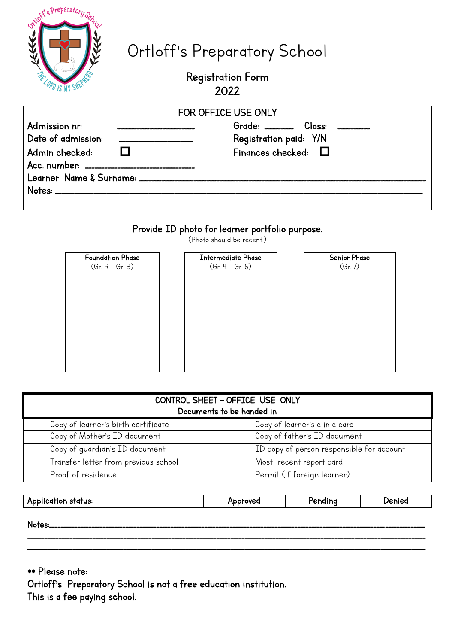| $\frac{1}{2}$ | Ortloft's Preparatory School |  |
|---------------|------------------------------|--|
|               | <b>CORD IS MY SHERKER</b>    |  |

# Ortloff's Preparatory School

# Registration Form 2022

| FOR OFFICE USE ONLY                                                                                                                                                                                                                                                                                                            |  |  |  |  |  |  |  |  |
|--------------------------------------------------------------------------------------------------------------------------------------------------------------------------------------------------------------------------------------------------------------------------------------------------------------------------------|--|--|--|--|--|--|--|--|
| Grade: $\frac{1}{2}$ Class:<br>Admission nr:<br><u> 1980 - Jan Jawa Barat, pre</u><br>_______________________<br>Date of admission:<br>Registration paid: Y/N<br>------------------------<br>Finances checked: $\Box$<br>Admin checked:<br>Acc. number: _____________________________<br>Notes: ______________________________ |  |  |  |  |  |  |  |  |

# Provide ID photo for learner portfolio purpose.

(Photo should be recent.)



| CONTROL SHEET - OFFICE USE ONLY<br>Documents to be handed in |  |                                           |  |  |  |  |  |
|--------------------------------------------------------------|--|-------------------------------------------|--|--|--|--|--|
| Copy of learner's birth certificate                          |  | Copy of learner's clinic card             |  |  |  |  |  |
| Copy of Mother's ID document                                 |  | Copy of father's ID document              |  |  |  |  |  |
| Copy of quardian's ID document                               |  | ID copy of person responsible for account |  |  |  |  |  |
| Transfer letter from previous school                         |  | Most recent report card                   |  |  |  |  |  |
| Proof of residence                                           |  | Permit (if foreign learner)               |  |  |  |  |  |

| Application status: | Approved | 'endina | Jenied |
|---------------------|----------|---------|--------|

\_\_\_\_\_\_\_\_\_\_\_\_\_\_\_\_\_\_\_\_\_\_\_\_\_\_\_\_\_\_\_\_\_\_\_\_\_\_\_\_\_\_\_\_\_\_\_\_\_\_\_\_\_\_\_\_\_\_\_\_\_\_\_\_\_\_\_\_\_\_\_\_\_\_\_\_\_\_\_\_\_\_\_\_\_\_\_\_\_\_\_\_\_\_\_\_\_\_\_\_\_\_\_\_\_\_\_\_\_\_\_\_\_\_\_\_\_\_\_\_\_\_\_\_\_\_\_\_\_\_\_\_\_\_\_\_\_\_\_\_\_ \_\_\_\_\_\_\_\_\_\_\_\_\_\_\_\_\_\_\_\_\_\_\_\_\_\_\_\_\_\_\_\_\_\_\_\_\_\_\_\_\_\_\_\_\_\_\_\_\_\_\_\_\_\_\_\_\_\_\_\_\_\_\_\_\_\_\_\_\_\_\_\_\_\_\_\_\_\_\_\_\_\_\_\_\_\_\_\_\_\_\_\_\_\_\_\_\_\_\_\_\_\_\_\_\_\_\_\_\_\_\_\_\_\_\_\_\_\_\_\_\_\_\_\_\_\_\_\_\_\_\_\_\_\_\_\_\_\_\_\_\_

Notes:\_\_\_\_\_\_\_\_\_\_\_\_\_\_\_\_\_\_\_\_\_\_\_\_\_\_\_\_\_\_\_\_\_\_\_\_\_\_\_\_\_\_\_\_\_\_\_\_\_\_\_\_\_\_\_\_\_\_\_\_\_\_\_\_\_\_\_\_\_\_\_\_\_\_\_\_\_\_\_\_\_\_\_\_\_\_\_\_\_\_\_\_\_\_\_\_\_\_\_\_\_\_\_\_\_\_\_\_\_\_\_\_\_\_\_\_\_\_\_\_\_\_\_\_\_\_\_\_\_\_\_\_\_

\*\* Please note: Ortloff's Preparatory School is not a free education institution. This is a fee paying school.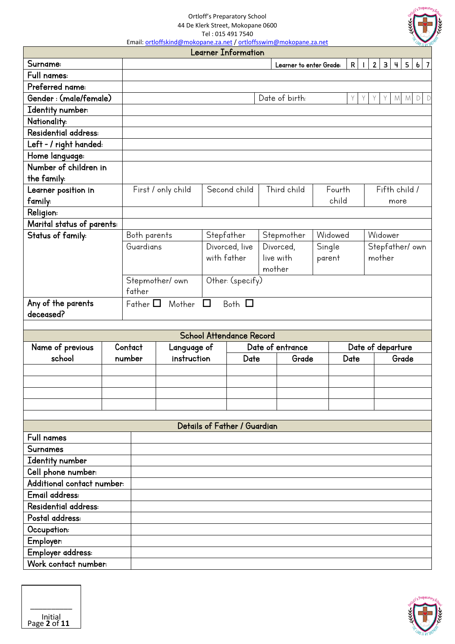Ortloff's Preparatory School

44 De Klerk Street, Mokopane 0600 Tel : 015 491 7540

Email: ortloffskind@mokopane.za.net / ortloffsswim@mokopane.za.net

|                            |                                     |                    |             | Learner Information             |        |                         |         |        | WK UN S                                                                 |
|----------------------------|-------------------------------------|--------------------|-------------|---------------------------------|--------|-------------------------|---------|--------|-------------------------------------------------------------------------|
| Surname:                   |                                     |                    |             |                                 |        | Learner to enter Grade: |         | R      | 2 <br>3 <br>$\vert \Psi \vert$<br>5 <sub>1</sub><br>6 7<br>$\mathbf{I}$ |
| Full names:                |                                     |                    |             |                                 |        |                         |         |        |                                                                         |
| Preferred name:            |                                     |                    |             |                                 |        |                         |         |        |                                                                         |
| Gender: (male/female)      |                                     |                    |             |                                 |        | Date of birth:          |         | Y.     | D<br>M<br>M                                                             |
| Identity number:           |                                     |                    |             |                                 |        |                         |         |        |                                                                         |
| Nationality:               |                                     |                    |             |                                 |        |                         |         |        |                                                                         |
| Residential address:       |                                     |                    |             |                                 |        |                         |         |        |                                                                         |
| Left - / right handed:     |                                     |                    |             |                                 |        |                         |         |        |                                                                         |
| Home language:             |                                     |                    |             |                                 |        |                         |         |        |                                                                         |
| Number of children in      |                                     |                    |             |                                 |        |                         |         |        |                                                                         |
| the family:                |                                     |                    |             |                                 |        |                         |         |        |                                                                         |
| Learner position in        |                                     | First / only child |             | Second child                    |        | Third child             |         | Fourth | Fifth child /                                                           |
| family:                    |                                     |                    |             |                                 |        |                         |         | child  | more                                                                    |
| Religion:                  |                                     |                    |             |                                 |        |                         |         |        |                                                                         |
| Marital status of parents: |                                     |                    |             |                                 |        |                         |         |        |                                                                         |
| Status of family:          | Both parents                        |                    | Stepfather  |                                 |        | Stepmother              | Widowed |        | Widower                                                                 |
|                            | Guardians                           |                    |             | Divorced, live                  |        | Divorced,               | Single  |        | Stepfather/own                                                          |
|                            |                                     |                    | with father |                                 |        | live with               | parent  |        | mother                                                                  |
|                            |                                     |                    |             |                                 | mother |                         |         |        |                                                                         |
|                            | Other: (specify)<br>Stepmother/ own |                    |             |                                 |        |                         |         |        |                                                                         |
|                            | father                              |                    |             |                                 |        |                         |         |        |                                                                         |
| Any of the parents         | Father $\Box$                       | Mother             | $\Box$      | Both $\Box$                     |        |                         |         |        |                                                                         |
| deceased?                  |                                     |                    |             |                                 |        |                         |         |        |                                                                         |
|                            |                                     |                    |             |                                 |        |                         |         |        |                                                                         |
|                            |                                     |                    |             | <b>School Attendance Record</b> |        |                         |         |        |                                                                         |
| Name of previous           | Contact                             | Language of        |             |                                 |        | Date of entrance        |         |        | Date of departure                                                       |
| school                     | number                              | instruction        | Date        |                                 | Grade  | Date                    |         | Grade  |                                                                         |
|                            |                                     |                    |             |                                 |        |                         |         |        |                                                                         |
|                            |                                     |                    |             |                                 |        |                         |         |        |                                                                         |
|                            |                                     |                    |             |                                 |        |                         |         |        |                                                                         |
|                            |                                     |                    |             |                                 |        |                         |         |        |                                                                         |
|                            |                                     |                    |             |                                 |        |                         |         |        |                                                                         |
|                            |                                     |                    |             | Details of Father / Guardian    |        |                         |         |        |                                                                         |
| <b>Full names</b>          |                                     |                    |             |                                 |        |                         |         |        |                                                                         |
| Surnames                   |                                     |                    |             |                                 |        |                         |         |        |                                                                         |
| Identity number            |                                     |                    |             |                                 |        |                         |         |        |                                                                         |
| Cell phone number:         |                                     |                    |             |                                 |        |                         |         |        |                                                                         |
| Additional contact number: |                                     |                    |             |                                 |        |                         |         |        |                                                                         |
| Email address:             |                                     |                    |             |                                 |        |                         |         |        |                                                                         |
| Residential address:       |                                     |                    |             |                                 |        |                         |         |        |                                                                         |
| Postal address:            |                                     |                    |             |                                 |        |                         |         |        |                                                                         |
| Occupation:                |                                     |                    |             |                                 |        |                         |         |        |                                                                         |
| Employer:                  |                                     |                    |             |                                 |        |                         |         |        |                                                                         |
| Employer address:          |                                     |                    |             |                                 |        |                         |         |        |                                                                         |
| Work contact number:       |                                     |                    |             |                                 |        |                         |         |        |                                                                         |
|                            |                                     |                    |             |                                 |        |                         |         |        |                                                                         |



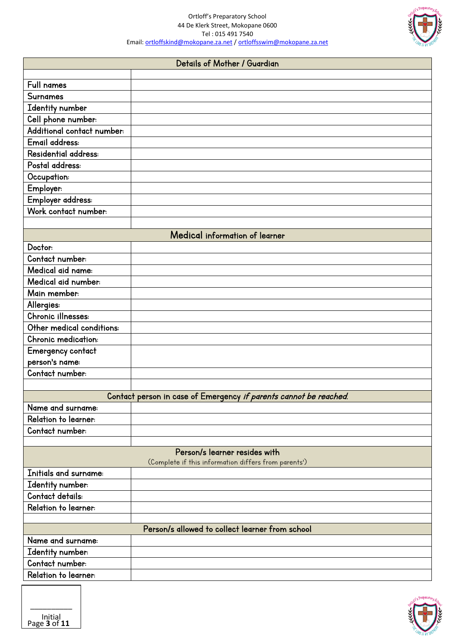

|                                       | Details of Mother / Guardian                                                          |
|---------------------------------------|---------------------------------------------------------------------------------------|
| Full names                            |                                                                                       |
| Surnames                              |                                                                                       |
|                                       |                                                                                       |
| Identity number<br>Cell phone number: |                                                                                       |
| Additional contact number:            |                                                                                       |
| Email address:                        |                                                                                       |
| Residential address:                  |                                                                                       |
| Postal address:                       |                                                                                       |
| Occupation:                           |                                                                                       |
| Employer:                             |                                                                                       |
| Employer address:                     |                                                                                       |
| Work contact number:                  |                                                                                       |
|                                       |                                                                                       |
|                                       | Medical information of learner                                                        |
| Doctor:                               |                                                                                       |
| Contact number:                       |                                                                                       |
| Medical aid name:                     |                                                                                       |
| Medical aid number:                   |                                                                                       |
| Main member:                          |                                                                                       |
| Allergies:                            |                                                                                       |
| Chronic illnesses:                    |                                                                                       |
| Other medical conditions:             |                                                                                       |
| Chronic medication:                   |                                                                                       |
| Emergency contact                     |                                                                                       |
| person's name:                        |                                                                                       |
| Contact number:                       |                                                                                       |
|                                       |                                                                                       |
|                                       | Contact person in case of Emergency if parents cannot be reached.                     |
| Name and surname:                     |                                                                                       |
| Relation to learner:                  |                                                                                       |
| Contact number:                       |                                                                                       |
|                                       |                                                                                       |
|                                       | Person/s learner resides with<br>(Complete if this information differs from parents') |
| Initials and surname:                 |                                                                                       |
| Identity number:                      |                                                                                       |
| Contact details:                      |                                                                                       |
| Relation to learner:                  |                                                                                       |
|                                       |                                                                                       |
|                                       | Person/s allowed to collect learner from school                                       |
| Name and surname:                     |                                                                                       |
| Identity number:                      |                                                                                       |
| Contact number:                       |                                                                                       |
| Relation to learner:                  |                                                                                       |
|                                       |                                                                                       |

Page **3** of **11**

\_\_\_\_\_\_\_\_\_\_ Initial

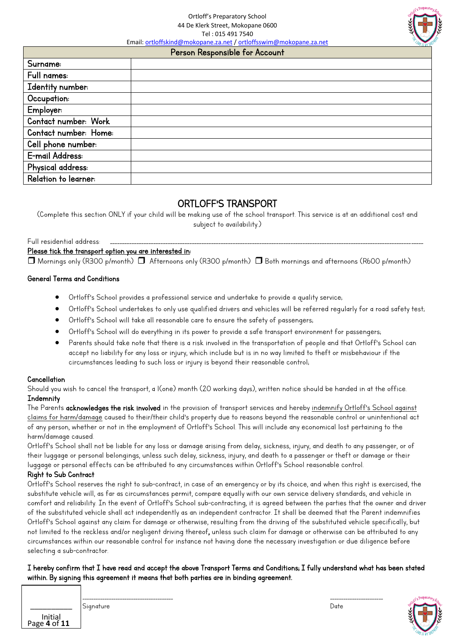Ortloff's Preparatory School 44 De Klerk Street, Mokopane 0600 Tel : 015 491 7540

Email: ortloffskind@mokopane.za.net / ortloffsswim@mokopane.za.net

## Person Responsible for Account

| Surname:              |  |  |
|-----------------------|--|--|
| Full names:           |  |  |
| Identity number:      |  |  |
| Occupation:           |  |  |
| Employer:             |  |  |
| Contact number: Work  |  |  |
| Contact number: Home: |  |  |
| Cell phone number:    |  |  |
| E-mail Address:       |  |  |
| Physical address:     |  |  |
| Relation to learner:  |  |  |

# ORTLOFF'S TRANSPORT

(Complete this section ONLY if your child will be making use of the school transport. This service is at an additional cost and subject to availability.)

# Full residential address:

### Please tick the transport option you are interested in:

 $\Box$  Mornings only (R300 p/month)  $\Box$  Afternoons only (R300 p/month)  $\Box$  Both mornings and afternoons (R600 p/month)

### General Terms and Conditions

- Ortloff's School provides a professional service and undertake to provide a quality service;
- Ortloff's School undertakes to only use qualified drivers and vehicles will be referred regularly for a road safety test;
- Ortloff's School will take all reasonable care to ensure the safety of passengers;
- Ortloff's School will do everything in its power to provide a safe transport environment for passengers;
- Parents should take note that there is a risk involved in the transportation of people and that Ortloff's School can accept no liability for any loss or injury, which include but is in no way limited to theft or misbehaviour if the circumstances leading to such loss or injury is beyond their reasonable control;

# Cancellation

Should you wish to cancel the transport, a 1(one) month (20 working days), written notice should be handed in at the office. **Indemnity** 

The Parents acknowledges the risk involved in the provision of transport services and hereby indemnify Ortloff's School against claims for harm/damage caused to their/their child's property due to reasons beyond the reasonable control or unintentional act of any person, whether or not in the employment of Ortloff's School. This will include any economical lost pertaining to the harm/damage caused.

Ortloff's School shall not be liable for any loss or damage arising from delay, sickness, injury, and death to any passenger, or of their luggage or personal belongings, unless such delay, sickness, injury, and death to a passenger or theft or damage or their luggage or personal effects can be attributed to any circumstances within Ortloff's School reasonable control.

# Right to Sub Contract

Ortloff's School reserves the right to sub-contract, in case of an emergency or by its choice, and when this right is exercised, the substitute vehicle will, as far as circumstances permit, compare equally with our own service delivery standards, and vehicle in comfort and reliability. In the event of Ortloff's School sub-contracting, it is agreed between the parties that the owner and driver of the substituted vehicle shall act independently as an independent contractor. It shall be deemed that the Parent indemnifies Ortloff's School against any claim for damage or otherwise, resulting from the driving of the substituted vehicle specifically, but not limited to the reckless and/or negligent driving thereof, unless such claim for damage or otherwise can be attributed to any circumstances within our reasonable control for instance not having done the necessary investigation or due diligence before selecting a sub-contractor.

I hereby confirm that I have read and accept the above Transport Terms and Conditions; I fully understand what has been stated within. By signing this agreement it means that both parties are in binding agreement.

| Initial<br>Page 4 of 11 |
|-------------------------|

\_\_\_\_\_\_\_\_\_\_\_\_\_\_\_\_\_\_\_\_\_\_\_\_\_\_\_\_\_\_\_\_\_\_\_\_\_\_\_\_\_ \_\_\_\_\_\_\_\_\_\_\_\_\_\_\_\_\_\_\_\_\_\_\_\_ Signature Date Date of the Date of the Date of the Date of the Date of the Date of the Date of the Date of the

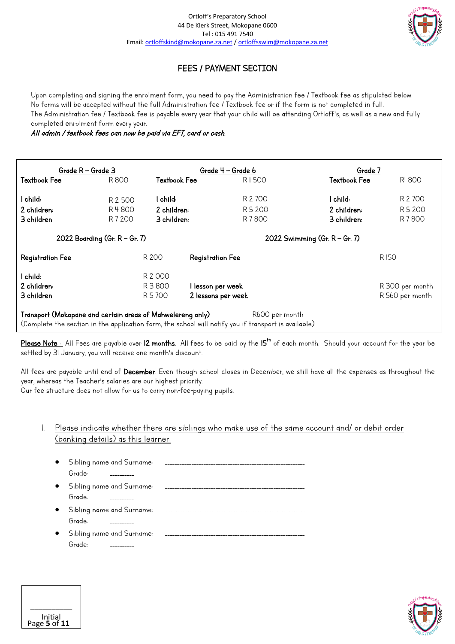

# FEES / PAYMENT SECTION

Upon completing and signing the enrolment form, you need to pay the Administration fee / Textbook fee as stipulated below. No forms will be accepted without the full Administration fee / Textbook fee or if the form is not completed in full. The Administration fee / Textbook fee is payable every year that your child will be attending Ortloff's, as well as a new and fully completed enrolment form every year.

All admin / textbook fees can now be paid via EFT, card or cash.

| Grade R - Grade 3                                                                                                                                                                    |                                       |              | Grade 4 – Grade 6       | Grade 7                               |                 |  |  |
|--------------------------------------------------------------------------------------------------------------------------------------------------------------------------------------|---------------------------------------|--------------|-------------------------|---------------------------------------|-----------------|--|--|
| <b>Textbook Fee</b>                                                                                                                                                                  | R800                                  | Textbook Fee | R1500                   | <b>Textbook Fee</b>                   | <b>RI 800</b>   |  |  |
| l child:                                                                                                                                                                             | R 2 500                               | l child:     | R 2 700                 | l child:                              | R 2 700         |  |  |
| 2 children:                                                                                                                                                                          | R 4800                                | 2 children:  | R 5 200                 | 2 children:                           | R 5 200         |  |  |
| 3 children                                                                                                                                                                           | R 7 200                               | 3 children:  | R 7800                  | 3 children:                           | R 7800          |  |  |
|                                                                                                                                                                                      | <u> 2022 Boarding (Gr. R – Gr. 7)</u> |              |                         | <u> 2022 Swimming (Gr. R – Gr. 7)</u> |                 |  |  |
| <b>Registration Fee</b>                                                                                                                                                              |                                       | R 200        | <b>Registration Fee</b> |                                       | R I50           |  |  |
| l child:                                                                                                                                                                             |                                       | R 2 000      |                         |                                       |                 |  |  |
| 2 children:                                                                                                                                                                          |                                       | R 3 800      | l lesson per week       |                                       | R 300 per month |  |  |
| 3 children                                                                                                                                                                           |                                       | R 5 700      | 2 lessons per week      |                                       | R 560 per month |  |  |
| Transport (Mokopane and certain areas of Mahwelereng only)<br>R600 per month<br>(Complete the section in the application form, the school will notify you if transport is available) |                                       |              |                         |                                       |                 |  |  |

I <u>Please Note :</u> All Fees are payable over 12 months. All fees to be paid by the 15<sup>th</sup> of each month. Should your account for the year be settled by 31 January, you will receive one month's discount.

All fees are payable until end of December. Even though school closes in December, we still have all the expenses as throughout the year, whereas the Teacher's salaries are our highest priority.

Our fee structure does not allow for us to carry non-fee-paying pupils.

Page **5** of **11**

\_\_\_\_\_\_\_\_\_\_ Initial

# 1. Please indicate whether there are siblings who make use of the same account and/ or debit order (banking details) as this learner:

| $\bullet$ | Sibling name and Surname:           |  |
|-----------|-------------------------------------|--|
|           | Grade:                              |  |
| $\bullet$ | Sibling name and Surname:<br>Grade: |  |
| $\bullet$ | Sibling name and Surname:<br>Grade: |  |
| $\bullet$ | Sibling name and Surname:<br>Grade: |  |

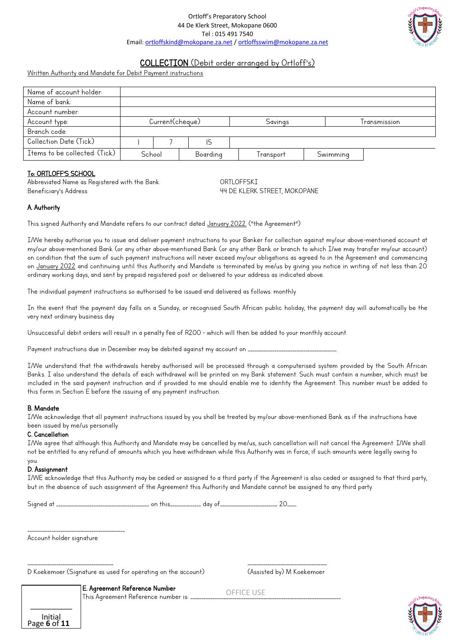

# COLLECTION (Debit order arranged by Ortloff's)

Written Authority and Mandate for Debit Payment instructions

| Name of account holder:       |                 |  |          |           |              |  |
|-------------------------------|-----------------|--|----------|-----------|--------------|--|
| Name of bank:                 |                 |  |          |           |              |  |
| Account number:               |                 |  |          |           |              |  |
| Account type:                 | Current(cheque) |  |          | Savings   | Transmission |  |
| Branch code:                  |                 |  |          |           |              |  |
| Collection Date (Tick)        |                 |  | I5       |           |              |  |
| Items to be collected: (Tick) | School          |  | Boarding | Transport | Swimming     |  |

#### To: ORTLOFF'S SCHOOL

Abbreviated Name as Registered with the Bank ORTLOFFSKI Beneficiary's Address The Communication and the U.S. Communication of the Muslim 44 DE KLERK STREET, MOKOPANE

### A. Authority

This signed Authority and Mandate refers to our contract dated January 2022. ("the Agreement")

I/We hereby authorise you to issue and deliver payment instructions to your Banker for collection against my/our above-mentioned account at my/our above-mentioned Bank (or any other above-mentioned Bank (or any other Bank or branch to which I/we may transfer my/our account) on condition that the sum of such payment instructions will never exceed my/our obligations as agreed to in the Agreement and commencing on January 2022 and continuing until this Authority and Mandate is terminated by me/us by giving you notice in writing of not less than 20 ordinary working days, and sent by prepaid registered post or delivered to your address as indicated above.

The individual payment instructions so authorised to be issued and delivered as follows: monthly

In the event that the payment day falls on a Sunday, or recognised South African public holiday, the payment day will automatically be the very next ordinary business day.

Unsuccessful debit orders will result in a penalty fee of R200 - which will then be added to your monthly account.

Payment instructions due in December may be debited against my account on .

I/We understand that the withdrawals hereby authorised will be processed through a computerised system provided by the South African Banks. I also understand the details of each withdrawal will be printed on my Bank statement. Such must contain a number, which must be included in the said payment instruction and if provided to me should enable me to identity the Agreement. This number must be added to this form in Section E before the issuing of any payment instruction.

#### B. Mandate

I/We acknowledge that all payment instructions issued by you shall be treated by my/our above-mentioned Bank as if the instructions have been issued by me/us personally.

#### C. Cancellation

I/We agree that although this Authority and Mandate may be cancelled by me/us, such cancellation will not cancel the Agreement. I/We shall not be entitled to any refund of amounts which you have withdrawn while this Authority was in force, if such amounts were legally owing to you.

### D. Assignment

Page **6** of **11**

\_\_\_\_\_\_\_\_\_\_ Initial

I/WE acknowledge that this Authority may be ceded or assigned to a third party if the Agreement is also ceded or assigned to that third party, but in the absence of such assignment of the Agreement this Authority and Mandate cannot be assigned to any third party.

| ∽<br>Sianed | . |  | uuv |  |  |
|-------------|---|--|-----|--|--|
|-------------|---|--|-----|--|--|

\_\_\_\_\_\_\_\_\_\_\_\_\_\_\_\_\_\_\_\_\_\_\_\_\_\_\_\_\_\_\_\_\_\_\_\_\_\_\_\_\_\_\_\_ Account holder signature

\_\_\_\_\_\_\_\_\_\_\_\_\_\_\_\_\_\_\_\_\_\_\_\_\_\_\_\_\_\_\_\_\_\_\_\_\_\_\_ \_\_\_\_\_\_\_\_\_\_\_\_\_\_\_\_\_\_\_\_\_\_\_\_\_\_\_\_\_\_\_\_\_\_\_\_ D Koekemoer (Signature as used for operating on the account) (Assisted by) M Koekemoer

E. Agreement Reference Number

This Agreement Reference number is: ...

OFFICE USE

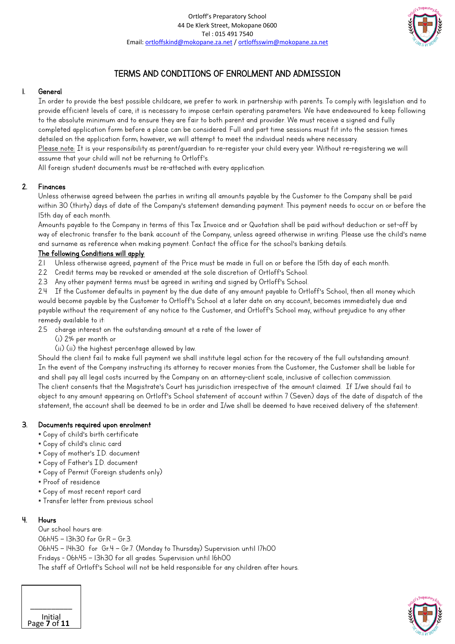

# TERMS AND CONDITIONS OF ENROLMENT AND ADMISSION

# 1. General

In order to provide the best possible childcare, we prefer to work in partnership with parents. To comply with legislation and to provide efficient levels of care, it is necessary to impose certain operating parameters. We have endeavoured to keep following to the absolute minimum and to ensure they are fair to both parent and provider. We must receive a signed and fully completed application form before a place can be considered. Full and part time sessions must fit into the session times detailed on the application form; however, we will attempt to meet the individual needs where necessary. Please note: It is your responsibility as parent/quardian to re-register your child every year. Without re-registering we will assume that your child will not be returning to Ortloff's.

All foreign student documents must be re-attached with every application.

# 2. Finances

Unless otherwise agreed between the parties in writing all amounts payable by the Customer to the Company shall be paid within 30 (thirty) days of date of the Company's statement demanding payment. This payment needs to occur on or before the 15th day of each month.

Amounts payable to the Company in terms of this Tax Invoice and or Quotation shall be paid without deduction or set-off by way of electronic transfer to the bank account of the Company, unless agreed otherwise in writing. Please use the child's name and surname as reference when making payment. Contact the office for the school's banking details.

# The following Conditions will apply:

- 2.1 Unless otherwise agreed, payment of the Price must be made in full on or before the 15th day of each month.
- 2.2 Credit terms may be revoked or amended at the sole discretion of Ortloff's School.
- 2.3 Any other payment terms must be agreed in writing and signed by Ortloff's School.

2.4 If the Customer defaults in payment by the due date of any amount payable to Ortloff's School, then all money which would become payable by the Customer to Ortloff's School at a later date on any account, becomes immediately due and payable without the requirement of any notice to the Customer, and Ortloff's School may, without prejudice to any other remedy available to it:

- 2.5 charge interest on the outstanding amount at a rate of the lower of
	- (i) 2% per month or
	- (ii) (ii) the highest percentage allowed by law.

Should the client fail to make full payment we shall institute legal action for the recovery of the full outstanding amount. In the event of the Company instructing its attorney to recover monies from the Customer, the Customer shall be liable for and shall pay all legal costs incurred by the Company on an attorney-client scale, inclusive of collection commission. The client consents that the Magistrate's Court has jurisdiction irrespective of the amount claimed. If I/we should fail to object to any amount appearing on Ortloff's School statement of account within 7 (Seven) days of the date of dispatch of the statement, the account shall be deemed to be in order and I/we shall be deemed to have received delivery of the statement.

# 3. Documents required upon enrolment

- \* Copy of child's birth certificate
- \* Copy of child's clinic card
- \* Copy of mother's I.D. document
- \* Copy of Father's I.D. document
- \* Copy of Permit (Foreign students only)
- \* Proof of residence
- \* Copy of most recent report card
- \* Transfer letter from previous school

# 4. Hours

Our school hours are: 06h45 – 13h30 for Gr.R – Gr.3. 06h45 – 14h30 for Gr.4 – Gr.7. (Monday to Thursday) Supervision until 17h00 Fridays - 06h45 – 13h30 for all grades. Supervision until 16h00 The staff of Ortloff's School will not be held responsible for any children after hours.



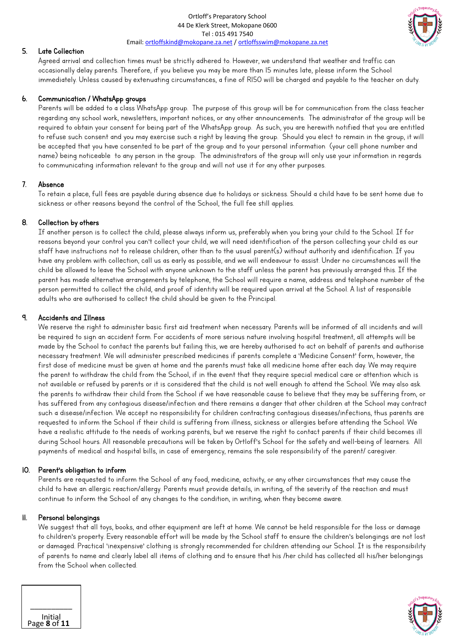Ortloff's Preparatory School 44 De Klerk Street, Mokopane 0600 Tel : 015 491 7540 Email: ortloffskind@mokopane.za.net / ortloffsswim@mokopane.za.net



## 5. Late Collection

Agreed arrival and collection times must be strictly adhered to. However, we understand that weather and traffic can occasionally delay parents. Therefore, if you believe you may be more than 15 minutes late, please inform the School immediately. Unless caused by extenuating circumstances, a fine of R150 will be charged and payable to the teacher on duty.

## 6. Communication / WhatsApp groups

Parents will be added to a class WhatsApp group. The purpose of this group will be for communication from the class teacher regarding any school work, newsletters, important notices, or any other announcements. The administrator of the group will be required to obtain your consent for being part of the WhatsApp group. As such, you are herewith notified that you are entitled to refuse such consent and you may exercise such a right by leaving the group. Should you elect to remain in the group, it will be accepted that you have consented to be part of the group and to your personal information (your cell phone number and name) being noticeable to any person in the group. The administrators of the group will only use your information in regards to communicating information relevant to the group and will not use it for any other purposes.

#### 7. Absence

To retain a place, full fees are payable during absence due to holidays or sickness. Should a child have to be sent home due to sickness or other reasons beyond the control of the School, the full fee still applies.

# 8. Collection by others

If another person is to collect the child, please always inform us, preferably when you bring your child to the School. If for reasons beyond your control you can't collect your child, we will need identification of the person collecting your child as our staff have instructions not to release children, other than to the usual parent(s) without authority and identification. If you have any problem with collection, call us as early as possible, and we will endeavour to assist. Under no circumstances will the child be allowed to leave the School with anyone unknown to the staff unless the parent has previously arranged this. If the parent has made alternative arrangements by telephone, the School will require a name, address and telephone number of the person permitted to collect the child, and proof of identity will be required upon arrival at the School. A list of responsible adults who are authorised to collect the child should be given to the Principal.

### 9. Accidents and Illness

We reserve the right to administer basic first aid treatment when necessary. Parents will be informed of all incidents and will be required to sign an accident form. For accidents of more serious nature involving hospital treatment, all attempts will be made by the School to contact the parents but failing this, we are hereby authorised to act on behalf of parents and authorise necessary treatment. We will administer prescribed medicines if parents complete a 'Medicine Consent' form, however, the first dose of medicine must be given at home and the parents must take all medicine home after each day. We may require the parent to withdraw the child from the School, if in the event that they require special medical care or attention which is not available or refused by parents or it is considered that the child is not well enough to attend the School. We may also ask the parents to withdraw their child from the School if we have reasonable cause to believe that they may be suffering from, or has suffered from any contagious disease/infection and there remains a danger that other children at the School may contract such a disease/infection. We accept no responsibility for children contracting contagious diseases/infections, thus parents are requested to inform the School if their child is suffering from illness, sickness or allergies before attending the School. We have a realistic attitude to the needs of working parents, but we reserve the right to contact parents if their child becomes ill during School hours. All reasonable precautions will be taken by Ortloff's School for the safety and well-being of learners. All payments of medical and hospital bills, in case of emergency, remains the sole responsibility of the parent/ caregiver.

#### 10. Parent's obligation to inform

Parents are requested to inform the School of any food, medicine, activity, or any other circumstances that may cause the child to have an allergic reaction/allergy. Parents must provide details, in writing, of the severity of the reaction and must continue to inform the School of any changes to the condition, in writing, when they become aware.

# 11. Personal belongings

We suggest that all toys, books, and other equipment are left at home. We cannot be held responsible for the loss or damage to children's property. Every reasonable effort will be made by the School staff to ensure the children's belongings are not lost or damaged. Practical 'inexpensive' clothing is strongly recommended for children attending our School. It is the responsibility of parents to name and clearly label all items of clothing and to ensure that his /her child has collected all his/her belongings from the School when collected.



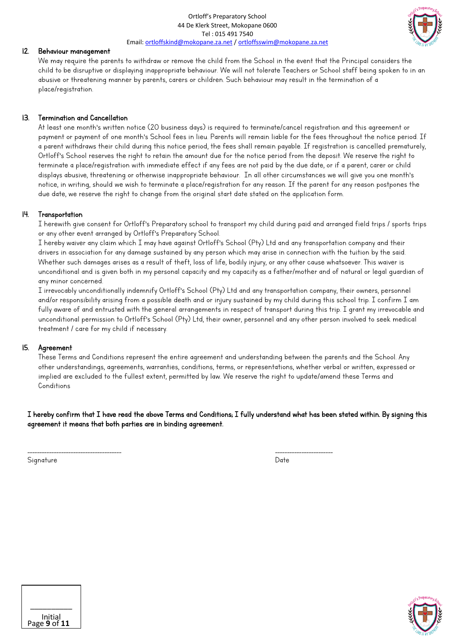

# 12. Behaviour management

We may require the parents to withdraw or remove the child from the School in the event that the Principal considers the child to be disruptive or displaying inappropriate behaviour. We will not tolerate Teachers or School staff being spoken to in an abusive or threatening manner by parents, carers or children. Such behaviour may result in the termination of a place/registration.

# 13. Termination and Cancellation

At least one month's written notice (20 business days) is required to terminate/cancel registration and this agreement or payment or payment of one month's School fees in lieu. Parents will remain liable for the fees throughout the notice period. If a parent withdraws their child during this notice period, the fees shall remain payable. If registration is cancelled prematurely, Ortloff's School reserves the right to retain the amount due for the notice period from the deposit. We reserve the right to terminate a place/registration with immediate effect if any fees are not paid by the due date, or if a parent, carer or child displays abusive, threatening or otherwise inappropriate behaviour. In all other circumstances we will give you one month's notice, in writing, should we wish to terminate a place/registration for any reason. If the parent for any reason postpones the due date, we reserve the right to change from the original start date stated on the application form.

# 14. Transportation

I herewith give consent for Ortloff's Preparatory school to transport my child during paid and arranged field trips / sports trips or any other event arranged by Ortloff's Preparatory School.

I hereby waiver any claim which I may have against Ortloff's School (Pty) Ltd and any transportation company and their drivers in association for any damage sustained by any person which may arise in connection with the tuition by the said. Whether such damages arises as a result of theft, loss of life, bodily injury, or any other cause whatsoever. This waiver is unconditional and is given both in my personal capacity and my capacity as a father/mother and of natural or legal guardian of any minor concerned.

I irrevocably unconditionally indemnify Ortloff's School (Pty) Ltd and any transportation company, their owners, personnel and/or responsibility arising from a possible death and or injury sustained by my child during this school trip. I confirm I am fully aware of and entrusted with the general arrangements in respect of transport during this trip. I grant my irrevocable and unconditional permission to Ortloff's School (Pty) Ltd, their owner, personnel and any other person involved to seek medical treatment / care for my child if necessary.

# 15. Agreement

These Terms and Conditions represent the entire agreement and understanding between the parents and the School. Any other understandings, agreements, warranties, conditions, terms, or representations, whether verbal or written, expressed or implied are excluded to the fullest extent, permitted by law. We reserve the right to update/amend these Terms and Conditions

I hereby confirm that I have read the above Terms and Conditions; I fully understand what has been stated within. By signing this agreement it means that both parties are in binding agreement.

Signature Date Date of the Date of the Date of the Date of the Date of the Date of the Date of the Date of the

\_\_\_\_\_\_\_\_\_\_\_\_\_\_\_\_\_\_\_\_\_\_\_\_\_\_\_\_\_\_\_\_\_\_\_\_\_\_\_ \_\_\_\_\_\_\_\_\_\_\_\_\_\_\_\_\_\_\_\_\_\_\_\_



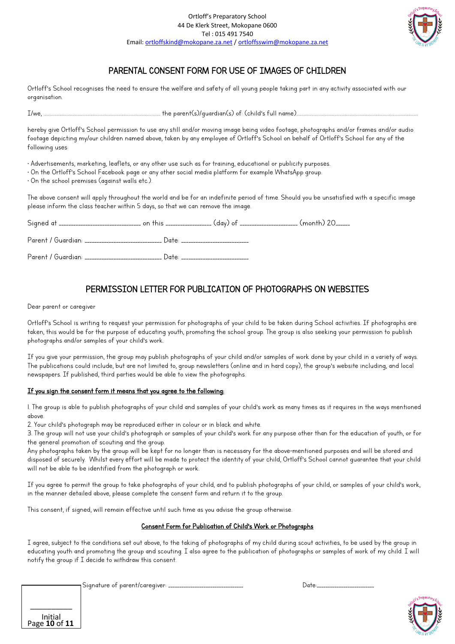

# PARENTAL CONSENT FORM FOR USE OF IMAGES OF CHILDREN

Ortloff's School recognises the need to ensure the welfare and safety of all young people taking part in any activity associated with our organisation.

I/ye, ………………………………………………………………………………………………….. the parent(s)/guardian(s) of: (ciknj"u fwnn pgoe)…………………………………………………………….…………………………………………

hereby give Ortloff's School permission to use any still and/or moving image being video footage, photographs and/or frames and/or audio footage depicting my/our children named above, taken by any employee of Ortloff's School on behalf of Ortloff's School for any of the following uses:

• Advertisements, marketing, leaflets, or any other use such as for training, educational or publicity purposes.

• On the Ortloff's School Facebook page or any other social media platform for example WhatsApp group.

 $\cdot$  On the school premises (against walls etc.).

The above consent will apply throughout the world and be for an indefinite period of time. Should you be unsatisfied with a specific image please inform the class teacher within 5 days, so that we can remove the image.

| Parent / Guardian: __________________________ Date: ____ | the control of the control of the control of |  |
|----------------------------------------------------------|----------------------------------------------|--|
| Parent / Guardian: __________________________ Date: _    |                                              |  |

# PERMISSION LETTER FOR PUBLICATION OF PHOTOGRAPHS ON WEBSITES

Dear parent or caregiver

Ortloff's School is writing to request your permission for photographs of your child to be taken during School activities. If photographs are taken, this would be for the purpose of educating youth, promoting the school group. The group is also seeking your permission to publish photographs and/or samples of your child's work.

If you give your permission, the group may publish photographs of your child and/or samples of work done by your child in a variety of ways. The publications could include, but are not limited to, group newsletters (online and in hard copy), the group's website including, and local newspapers. If published, third parties would be able to view the photographs.

#### If you sign the consent form it means that you agree to the following:

1. The group is able to publish photographs of your child and samples of your child's work as many times as it requires in the ways mentioned above.

2. Your child's photograph may be reproduced either in colour or in black and white.

3. The group will not use your child's photograph or samples of your child's work for any purpose other than for the education of youth, or for the general promotion of scouting and the group.

Any photographs taken by the group will be kept for no longer than is necessary for the above-mentioned purposes and will be stored and disposed of securely. Whilst every effort will be made to protect the identity of your child, Ortloff's School cannot quarantee that your child will not be able to be identified from the photograph or work.

If you agree to permit the group to take photographs of your child, and to publish photographs of your child, or samples of your child's work, in the manner detailed above, please complete the consent form and return it to the group.

This consent, if signed, will remain effective until such time as you advise the group otherwise.

#### Consent Form for Publication of Child's Work or Photographs

I agree, subject to the conditions set out above, to the taking of photographs of my child during scout activities, to be used by the group in educating youth and promoting the group and scouting. I also agree to the publication of photographs or samples of work of my child. I will notify the group if I decide to withdraw this consent.

| Initial<br>Page 10 of 11 |
|--------------------------|

Signature of parent/caregiver: \_\_\_\_\_\_\_\_\_\_\_\_\_\_\_\_\_\_\_\_\_\_\_\_\_\_\_\_\_\_\_\_\_\_ Date:\_\_\_\_\_\_\_\_\_\_\_\_\_\_\_\_\_\_\_\_\_\_\_\_\_\_